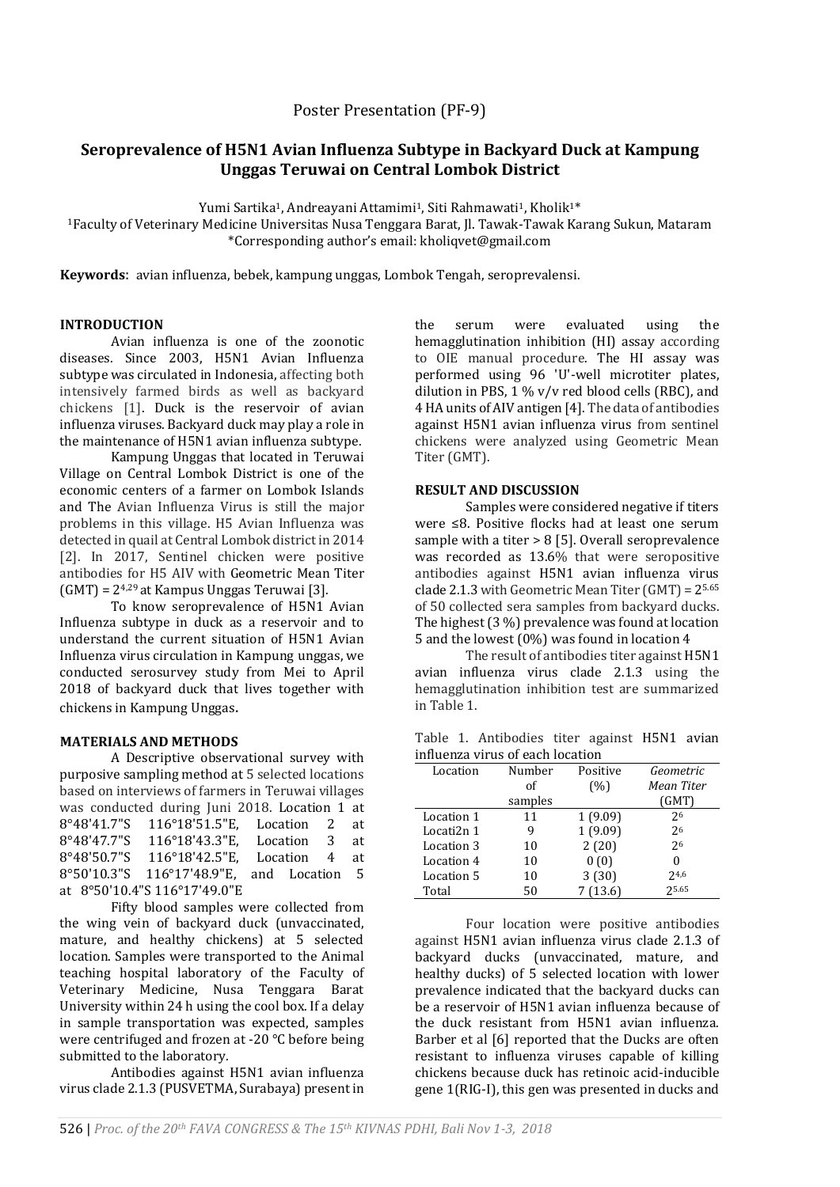Poster Presentation (PF-9)

# **Seroprevalence of H5N1 Avian Influenza Subtype in Backyard Duck at Kampung Unggas Teruwai on Central Lombok District**

Yumi Sartika<sup>1</sup>, Andreayani Attamimi<sup>1</sup>, Siti Rahmawati<sup>1</sup>, Kholik<sup>1\*</sup>

<sup>1</sup>Faculty of Veterinary Medicine Universitas Nusa Tenggara Barat, Jl. Tawak-Tawak Karang Sukun, Mataram \*Corresponding author's email: kholiqvet@gmail.com

**Keywords**: avian influenza, bebek, kampung unggas, Lombok Tengah, seroprevalensi.

# **INTRODUCTION**

Avian influenza is one of the zoonotic diseases. Since 2003, H5N1 Avian Influenza subtype was circulated in Indonesia, affecting both intensively farmed birds as well as backyard chickens [1]. Duck is the reservoir of avian influenza viruses. Backyard duck may play a role in the maintenance of H5N1 avian influenza subtype.

Kampung Unggas that located in Teruwai Village on Central Lombok District is one of the economic centers of a farmer on Lombok Islands and The Avian Influenza Virus is still the major problems in this village. H5 Avian Influenza was detected in quail at Central Lombok district in 2014 [2]. In 2017, Sentinel chicken were positive antibodies for H5 AIV with Geometric Mean Titer (GMT) = 24,29 at Kampus Unggas Teruwai [3].

To know seroprevalence of H5N1 Avian Influenza subtype in duck as a reservoir and to understand the current situation of H5N1 Avian Influenza virus circulation in Kampung unggas, we conducted serosurvey study from Mei to April 2018 of backyard duck that lives together with chickens in Kampung Unggas.

#### **MATERIALS AND METHODS**

A Descriptive observational survey with purposive sampling method at 5 selected locations based on interviews of farmers in Teruwai villages was conducted during Juni 2018. Location 1 at 8°48'41.7"S 116°18'51.5"E, Location 2 at 8°48'47.7"S 116°18'43.3"E, Location 3 at 8°48'50.7"S 116°18'42.5"E, Location 4 at 8°50'10.3"S 116°17'48.9"E, and Location 5 at 8°50'10.4"S 116°17'49.0"E

Fifty blood samples were collected from the wing vein of backyard duck (unvaccinated, mature, and healthy chickens) at 5 selected location. Samples were transported to the Animal teaching hospital laboratory of the Faculty of Veterinary Medicine, Nusa Tenggara Barat University within 24 h using the cool box. If a delay in sample transportation was expected, samples were centrifuged and frozen at -20 °C before being submitted to the laboratory.

Antibodies against H5N1 avian influenza virus clade 2.1.3 (PUSVETMA, Surabaya) present in the serum were evaluated using the hemagglutination inhibition (HI) assay according to OIE manual procedure. The HI assay was performed using 96 'U'-well microtiter plates, dilution in PBS,  $1\%$  v/v red blood cells (RBC), and 4 HA units of AIV antigen [4]. The data of antibodies against H5N1 avian influenza virus from sentinel chickens were analyzed using Geometric Mean Titer (GMT).

#### **RESULT AND DISCUSSION**

Samples were considered negative if titers were ≤8. Positive flocks had at least one serum sample with a titer > 8 [5]. Overall seroprevalence was recorded as 13.6% that were seropositive antibodies against H5N1 avian influenza virus clade 2.1.3 with Geometric Mean Titer (GMT) =  $2^{5.65}$ of 50 collected sera samples from backyard ducks. The highest (3 %) prevalence was found at location 5 and the lowest (0%) was found in location 4

The result of antibodies titer against H5N1 avian influenza virus clade 2.1.3 using the hemagglutination inhibition test are summarized in Table 1.

Table 1. Antibodies titer against H5N1 avian influenza virus of each location

| imnuchza vn as or cach location |         |          |            |
|---------------------------------|---------|----------|------------|
| Location                        | Number  | Positive | Geometric  |
|                                 | οf      | (%)      | Mean Titer |
|                                 | samples |          | (GMT)      |
| Location 1                      | 11      | 1(9.09)  | 26         |
| Locati2n 1                      | 9       | 1(9.09)  | 26         |
| Location 3                      | 10      | 2(20)    | 26         |
| Location 4                      | 10      | 0(0)     | 0          |
| Location 5                      | 10      | 3(30)    | 24,6       |
| Total                           | 50      | 7(13.6)  | 25.65      |

Four location were positive antibodies against H5N1 avian influenza virus clade 2.1.3 of backyard ducks (unvaccinated, mature, and healthy ducks) of 5 selected location with lower prevalence indicated that the backyard ducks can be a reservoir of H5N1 avian influenza because of the duck resistant from H5N1 avian influenza. Barber et al [6] reported that the Ducks are often resistant to influenza viruses capable of killing chickens because duck has retinoic acid-inducible gene 1(RIG-I), this gen was presented in ducks and